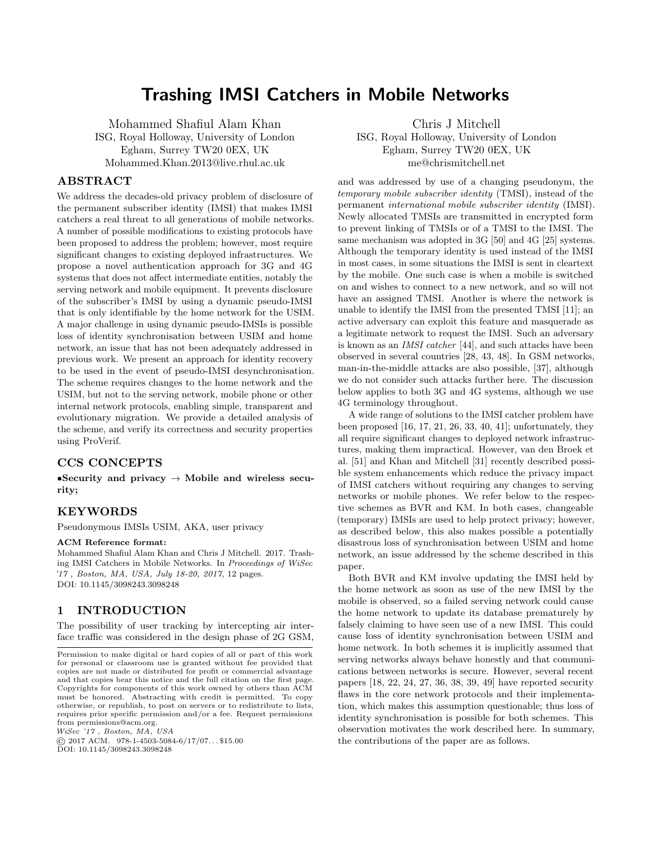# Trashing IMSI Catchers in Mobile Networks

Mohammed Shafiul Alam Khan ISG, Royal Holloway, University of London Egham, Surrey TW20 0EX, UK Mohammed.Khan.2013@live.rhul.ac.uk

# ABSTRACT

We address the decades-old privacy problem of disclosure of the permanent subscriber identity (IMSI) that makes IMSI catchers a real threat to all generations of mobile networks. A number of possible modifications to existing protocols have been proposed to address the problem; however, most require significant changes to existing deployed infrastructures. We propose a novel authentication approach for 3G and 4G systems that does not affect intermediate entities, notably the serving network and mobile equipment. It prevents disclosure of the subscriber's IMSI by using a dynamic pseudo-IMSI that is only identifiable by the home network for the USIM. A major challenge in using dynamic pseudo-IMSIs is possible loss of identity synchronisation between USIM and home network, an issue that has not been adequately addressed in previous work. We present an approach for identity recovery to be used in the event of pseudo-IMSI desynchronisation. The scheme requires changes to the home network and the USIM, but not to the serving network, mobile phone or other internal network protocols, enabling simple, transparent and evolutionary migration. We provide a detailed analysis of the scheme, and verify its correctness and security properties using ProVerif.

# CCS CONCEPTS

•Security and privacy  $\rightarrow$  Mobile and wireless security;

# KEYWORDS

Pseudonymous IMSIs USIM, AKA, user privacy

# ACM Reference format:

Mohammed Shafiul Alam Khan and Chris J Mitchell. 2017. Trashing IMSI Catchers in Mobile Networks. In Proceedings of WiSec '17 , Boston, MA, USA, July 18-20, 2017, [12](#page-11-0) pages. DOI: 10.1145/3098243.3098248

# <span id="page-0-0"></span>1 INTRODUCTION

The possibility of user tracking by intercepting air interface traffic was considered in the design phase of 2G GSM,

WiSec '17 , Boston, MA, USA

 $\odot$  2017 ACM. 978-1-4503-5084-6/17/07...\$15.00 DOI: 10.1145/3098243.3098248

Chris J Mitchell

ISG, Royal Holloway, University of London Egham, Surrey TW20 0EX, UK me@chrismitchell.net

and was addressed by use of a changing pseudonym, the temporary mobile subscriber identity (TMSI), instead of the permanent international mobile subscriber identity (IMSI). Newly allocated TMSIs are transmitted in encrypted form to prevent linking of TMSIs or of a TMSI to the IMSI. The same mechanism was adopted in 3G [\[50\]](#page-11-1) and 4G [\[25\]](#page-10-0) systems. Although the temporary identity is used instead of the IMSI in most cases, in some situations the IMSI is sent in cleartext by the mobile. One such case is when a mobile is switched on and wishes to connect to a new network, and so will not have an assigned TMSI. Another is where the network is unable to identify the IMSI from the presented TMSI [\[11\]](#page-10-1); an active adversary can exploit this feature and masquerade as a legitimate network to request the IMSI. Such an adversary is known as an IMSI catcher [\[44\]](#page-11-2), and such attacks have been observed in several countries [\[28,](#page-10-2) [43,](#page-11-3) [48\]](#page-11-4). In GSM networks, man-in-the-middle attacks are also possible, [\[37\]](#page-11-5), although we do not consider such attacks further here. The discussion below applies to both 3G and 4G systems, although we use 4G terminology throughout.

A wide range of solutions to the IMSI catcher problem have been proposed [\[16,](#page-10-3) [17,](#page-10-4) [21,](#page-10-5) [26,](#page-10-6) [33,](#page-11-6) [40,](#page-11-7) [41\]](#page-11-8); unfortunately, they all require significant changes to deployed network infrastructures, making them impractical. However, van den Broek et al. [\[51\]](#page-11-9) and Khan and Mitchell [\[31\]](#page-11-10) recently described possible system enhancements which reduce the privacy impact of IMSI catchers without requiring any changes to serving networks or mobile phones. We refer below to the respective schemes as BVR and KM. In both cases, changeable (temporary) IMSIs are used to help protect privacy; however, as described below, this also makes possible a potentially disastrous loss of synchronisation between USIM and home network, an issue addressed by the scheme described in this paper.

Both BVR and KM involve updating the IMSI held by the home network as soon as use of the new IMSI by the mobile is observed, so a failed serving network could cause the home network to update its database prematurely by falsely claiming to have seen use of a new IMSI. This could cause loss of identity synchronisation between USIM and home network. In both schemes it is implicitly assumed that serving networks always behave honestly and that communications between networks is secure. However, several recent papers [\[18,](#page-10-7) [22,](#page-10-8) [24,](#page-10-9) [27,](#page-10-10) [36,](#page-11-11) [38,](#page-11-12) [39,](#page-11-13) [49\]](#page-11-14) have reported security flaws in the core network protocols and their implementation, which makes this assumption questionable; thus loss of identity synchronisation is possible for both schemes. This observation motivates the work described here. In summary, the contributions of the paper are as follows.

Permission to make digital or hard copies of all or part of this work for personal or classroom use is granted without fee provided that copies are not made or distributed for profit or commercial advantage and that copies bear this notice and the full citation on the first page. Copyrights for components of this work owned by others than ACM must be honored. Abstracting with credit is permitted. To copy otherwise, or republish, to post on servers or to redistribute to lists, requires prior specific permission and/or a fee. Request permissions from permissions@acm.org.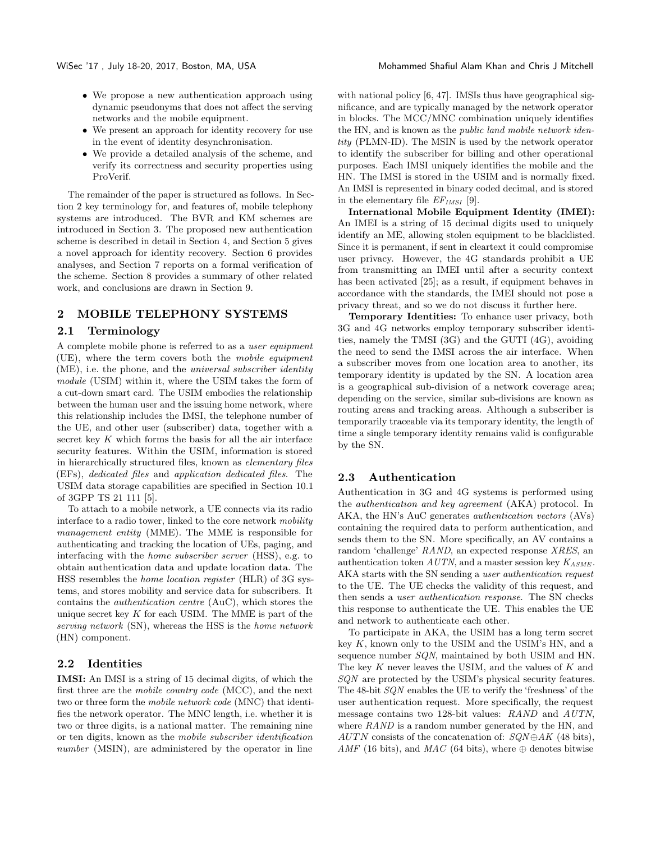- We propose a new authentication approach using dynamic pseudonyms that does not affect the serving networks and the mobile equipment.
- We present an approach for identity recovery for use in the event of identity desynchronisation.
- We provide a detailed analysis of the scheme, and verify its correctness and security properties using ProVerif.

The remainder of the paper is structured as follows. In Section [2](#page-1-0) key terminology for, and features of, mobile telephony systems are introduced. The BVR and KM schemes are introduced in Section [3.](#page-2-0) The proposed new authentication scheme is described in detail in Section [4,](#page-3-0) and Section [5](#page-6-0) gives a novel approach for identity recovery. Section [6](#page-7-0) provides analyses, and Section [7](#page-9-0) reports on a formal verification of the scheme. Section [8](#page-9-1) provides a summary of other related work, and conclusions are drawn in Section [9.](#page-9-2)

# <span id="page-1-0"></span>2 MOBILE TELEPHONY SYSTEMS

# 2.1 Terminology

A complete mobile phone is referred to as a user equipment (UE), where the term covers both the mobile equipment (ME), i.e. the phone, and the *universal subscriber identity* module (USIM) within it, where the USIM takes the form of a cut-down smart card. The USIM embodies the relationship between the human user and the issuing home network, where this relationship includes the IMSI, the telephone number of the UE, and other user (subscriber) data, together with a secret key  $K$  which forms the basis for all the air interface security features. Within the USIM, information is stored in hierarchically structured files, known as elementary files (EFs), dedicated files and application dedicated files. The USIM data storage capabilities are specified in Section 10.1 of 3GPP TS 21 111 [\[5\]](#page-10-11).

To attach to a mobile network, a UE connects via its radio interface to a radio tower, linked to the core network mobility management entity (MME). The MME is responsible for authenticating and tracking the location of UEs, paging, and interfacing with the home subscriber server (HSS), e.g. to obtain authentication data and update location data. The HSS resembles the home location register (HLR) of 3G systems, and stores mobility and service data for subscribers. It contains the authentication centre (AuC), which stores the unique secret key  $K$  for each USIM. The MME is part of the serving network (SN), whereas the HSS is the home network (HN) component.

# 2.2 Identities

IMSI: An IMSI is a string of 15 decimal digits, of which the first three are the mobile country code (MCC), and the next two or three form the mobile network code (MNC) that identifies the network operator. The MNC length, i.e. whether it is two or three digits, is a national matter. The remaining nine or ten digits, known as the mobile subscriber identification number (MSIN), are administered by the operator in line

with national policy [\[6,](#page-10-12) [47\]](#page-11-15). IMSIs thus have geographical significance, and are typically managed by the network operator in blocks. The MCC/MNC combination uniquely identifies the HN, and is known as the public land mobile network identity (PLMN-ID). The MSIN is used by the network operator to identify the subscriber for billing and other operational purposes. Each IMSI uniquely identifies the mobile and the HN. The IMSI is stored in the USIM and is normally fixed. An IMSI is represented in binary coded decimal, and is stored in the elementary file  $EF_{IMSI}$  [\[9\]](#page-10-13).

International Mobile Equipment Identity (IMEI): An IMEI is a string of 15 decimal digits used to uniquely identify an ME, allowing stolen equipment to be blacklisted. Since it is permanent, if sent in cleartext it could compromise user privacy. However, the 4G standards prohibit a UE from transmitting an IMEI until after a security context has been activated [\[25\]](#page-10-0); as a result, if equipment behaves in accordance with the standards, the IMEI should not pose a privacy threat, and so we do not discuss it further here.

Temporary Identities: To enhance user privacy, both 3G and 4G networks employ temporary subscriber identities, namely the TMSI (3G) and the GUTI (4G), avoiding the need to send the IMSI across the air interface. When a subscriber moves from one location area to another, its temporary identity is updated by the SN. A location area is a geographical sub-division of a network coverage area; depending on the service, similar sub-divisions are known as routing areas and tracking areas. Although a subscriber is temporarily traceable via its temporary identity, the length of time a single temporary identity remains valid is configurable by the SN.

### <span id="page-1-1"></span>2.3 Authentication

Authentication in 3G and 4G systems is performed using the authentication and key agreement (AKA) protocol. In AKA, the HN's AuC generates authentication vectors (AVs) containing the required data to perform authentication, and sends them to the SN. More specifically, an AV contains a random 'challenge' RAND, an expected response XRES, an authentication token  $A U T N$ , and a master session key  $K_{ASME}$ . AKA starts with the SN sending a user authentication request to the UE. The UE checks the validity of this request, and then sends a user authentication response. The SN checks this response to authenticate the UE. This enables the UE and network to authenticate each other.

To participate in AKA, the USIM has a long term secret key  $K$ , known only to the USIM and the USIM's HN, and a sequence number  $SQN$ , maintained by both USIM and HN. The key  $K$  never leaves the USIM, and the values of  $K$  and SQN are protected by the USIM's physical security features. The 48-bit SQN enables the UE to verify the 'freshness' of the user authentication request. More specifically, the request message contains two 128-bit values: RAND and AUTN, where RAND is a random number generated by the HN, and  $AUTN$  consists of the concatenation of:  $SQN \oplus AK$  (48 bits), AMF (16 bits), and MAC (64 bits), where  $\oplus$  denotes bitwise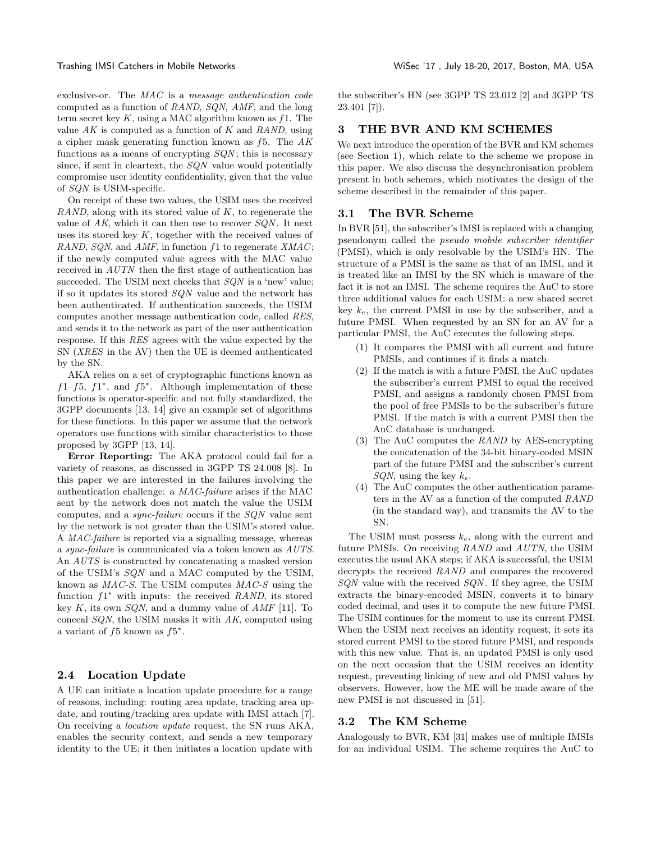exclusive-or. The MAC is a message authentication code computed as a function of RAND, SQN, AMF, and the long term secret key  $K$ , using a MAC algorithm known as  $f1$ . The value  $AK$  is computed as a function of K and RAND, using a cipher mask generating function known as  $f5$ . The  $AK$ functions as a means of encrypting  $SQN$ ; this is necessary since, if sent in cleartext, the SQN value would potentially compromise user identity confidentiality, given that the value of SQN is USIM-specific.

On receipt of these two values, the USIM uses the received  $RAND$ , along with its stored value of  $K$ , to regenerate the value of  $AK$ , which it can then use to recover  $SQN$ . It next uses its stored key  $K$ , together with the received values of RAND, SQN, and AMF, in function  $f1$  to regenerate  $XMAC$ ; if the newly computed value agrees with the MAC value received in AUTN then the first stage of authentication has succeeded. The USIM next checks that  $SQN$  is a 'new' value; if so it updates its stored SQN value and the network has been authenticated. If authentication succeeds, the USIM computes another message authentication code, called RES, and sends it to the network as part of the user authentication response. If this RES agrees with the value expected by the SN (XRES in the AV) then the UE is deemed authenticated by the SN.

AKA relies on a set of cryptographic functions known as  $f1-f5$ ,  $f1^*$ , and  $f5^*$ . Although implementation of these functions is operator-specific and not fully standardized, the 3GPP documents [\[13,](#page-10-14) [14\]](#page-10-15) give an example set of algorithms for these functions. In this paper we assume that the network operators use functions with similar characteristics to those proposed by 3GPP [\[13,](#page-10-14) [14\]](#page-10-15).

Error Reporting: The AKA protocol could fail for a variety of reasons, as discussed in 3GPP TS 24.008 [\[8\]](#page-10-16). In this paper we are interested in the failures involving the authentication challenge: a MAC-failure arises if the MAC sent by the network does not match the value the USIM computes, and a sync-failure occurs if the SQN value sent by the network is not greater than the USIM's stored value. A MAC-failure is reported via a signalling message, whereas a sync-failure is communicated via a token known as AUTS. An AUTS is constructed by concatenating a masked version of the USIM's SQN and a MAC computed by the USIM, known as MAC-S. The USIM computes MAC-S using the function  $f1^*$  with inputs: the received RAND, its stored key K, its own  $SQN$ , and a dummy value of  $AMF$  [\[11\]](#page-10-1). To conceal SQN, the USIM masks it with AK, computed using a variant of  $f5$  known as  $f5^*$ .

# <span id="page-2-1"></span>2.4 Location Update

A UE can initiate a location update procedure for a range of reasons, including: routing area update, tracking area update, and routing/tracking area update with IMSI attach [\[7\]](#page-10-17). On receiving a location update request, the SN runs AKA, enables the security context, and sends a new temporary identity to the UE; it then initiates a location update with

the subscriber's HN (see 3GPP TS 23.012 [\[2\]](#page-10-18) and 3GPP TS 23.401 [\[7\]](#page-10-17)).

# <span id="page-2-0"></span>3 THE BVR AND KM SCHEMES

We next introduce the operation of the BVR and KM schemes (see Section [1\)](#page-0-0), which relate to the scheme we propose in this paper. We also discuss the desynchronisation problem present in both schemes, which motivates the design of the scheme described in the remainder of this paper.

## 3.1 The BVR Scheme

In BVR [\[51\]](#page-11-9), the subscriber's IMSI is replaced with a changing pseudonym called the pseudo mobile subscriber identifier (PMSI), which is only resolvable by the USIM's HN. The structure of a PMSI is the same as that of an IMSI, and it is treated like an IMSI by the SN which is unaware of the fact it is not an IMSI. The scheme requires the AuC to store three additional values for each USIM: a new shared secret key  $k_e$ , the current PMSI in use by the subscriber, and a future PMSI. When requested by an SN for an AV for a particular PMSI, the AuC executes the following steps.

- (1) It compares the PMSI with all current and future PMSIs, and continues if it finds a match.
- (2) If the match is with a future PMSI, the AuC updates the subscriber's current PMSI to equal the received PMSI, and assigns a randomly chosen PMSI from the pool of free PMSIs to be the subscriber's future PMSI. If the match is with a current PMSI then the AuC database is unchanged.
- (3) The AuC computes the RAND by AES-encrypting the concatenation of the 34-bit binary-coded MSIN part of the future PMSI and the subscriber's current SQN, using the key  $k_e$ .
- (4) The AuC computes the other authentication parameters in the AV as a function of the computed RAND (in the standard way), and transmits the AV to the SN.

The USIM must possess  $k_e$ , along with the current and future PMSIs. On receiving RAND and AUTN, the USIM executes the usual AKA steps; if AKA is successful, the USIM decrypts the received RAND and compares the recovered  $SQN$  value with the received  $SQN$ . If they agree, the USIM extracts the binary-encoded MSIN, converts it to binary coded decimal, and uses it to compute the new future PMSI. The USIM continues for the moment to use its current PMSI. When the USIM next receives an identity request, it sets its stored current PMSI to the stored future PMSI, and responds with this new value. That is, an updated PMSI is only used on the next occasion that the USIM receives an identity request, preventing linking of new and old PMSI values by observers. However, how the ME will be made aware of the new PMSI is not discussed in [\[51\]](#page-11-9).

### 3.2 The KM Scheme

Analogously to BVR, KM [\[31\]](#page-11-10) makes use of multiple IMSIs for an individual USIM. The scheme requires the AuC to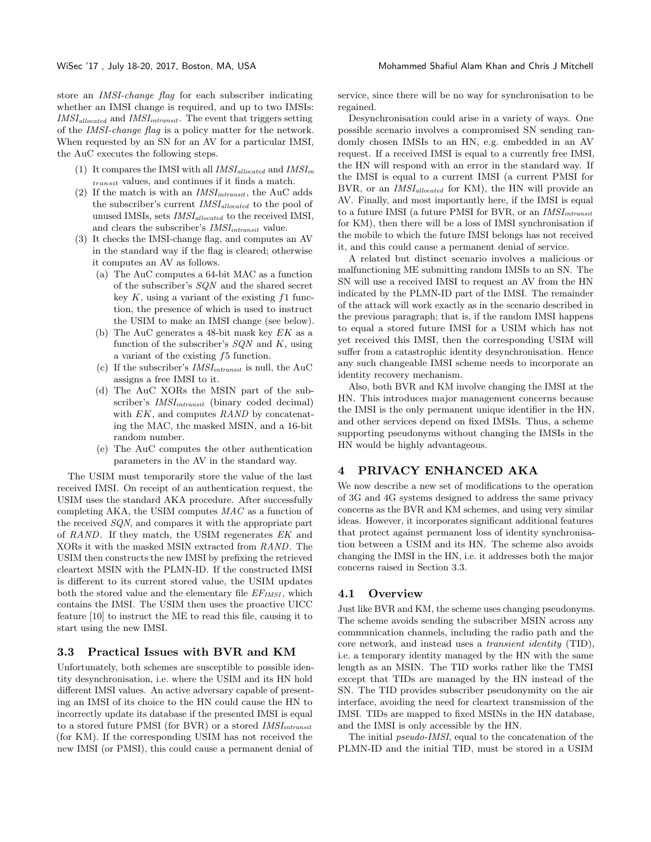store an IMSI-change flag for each subscriber indicating whether an IMSI change is required, and up to two IMSIs:  $IMSI_{allocated}$  and  $IMSI_{intransit}$ . The event that triggers setting of the IMSI-change flag is a policy matter for the network. When requested by an SN for an AV for a particular IMSI, the AuC executes the following steps.

- (1) It compares the IMSI with all  $IMSI_{allocated}$  and  $IMSI_{in}$ transit values, and continues if it finds a match.
- (2) If the match is with an  $IMSI_{intransit}$ , the AuC adds the subscriber's current *IMSI*<sub>allocated</sub> to the pool of unused IMSIs, sets *IMSI<sub>allocated</sub>* to the received IMSI, and clears the subscriber's  $IMSI_{intransit}$  value.
- (3) It checks the IMSI-change flag, and computes an AV in the standard way if the flag is cleared; otherwise it computes an AV as follows.
	- (a) The AuC computes a 64-bit MAC as a function of the subscriber's SQN and the shared secret key  $K$ , using a variant of the existing  $f1$  function, the presence of which is used to instruct the USIM to make an IMSI change (see below).
	- (b) The AuC generates a 48-bit mask key  $EK$  as a function of the subscriber's  $SQN$  and K, using a variant of the existing  $f5$  function.
	- (c) If the subscriber's  $IMSI_{intransit}$  is null, the AuC assigns a free IMSI to it.
	- (d) The AuC XORs the MSIN part of the subscriber's  $IMSI_{intransit}$  (binary coded decimal) with  $EK$ , and computes  $RAND$  by concatenating the MAC, the masked MSIN, and a 16-bit random number.
	- (e) The AuC computes the other authentication parameters in the AV in the standard way.

The USIM must temporarily store the value of the last received IMSI. On receipt of an authentication request, the USIM uses the standard AKA procedure. After successfully completing AKA, the USIM computes MAC as a function of the received SQN, and compares it with the appropriate part of RAND. If they match, the USIM regenerates EK and XORs it with the masked MSIN extracted from RAND. The USIM then constructs the new IMSI by prefixing the retrieved cleartext MSIN with the PLMN-ID. If the constructed IMSI is different to its current stored value, the USIM updates both the stored value and the elementary file  $EF_{IMSI}$ , which contains the IMSI. The USIM then uses the proactive UICC feature [\[10\]](#page-10-19) to instruct the ME to read this file, causing it to start using the new IMSI.

### <span id="page-3-1"></span>3.3 Practical Issues with BVR and KM

Unfortunately, both schemes are susceptible to possible identity desynchronisation, i.e. where the USIM and its HN hold different IMSI values. An active adversary capable of presenting an IMSI of its choice to the HN could cause the HN to incorrectly update its database if the presented IMSI is equal to a stored future PMSI (for BVR) or a stored  $IMSI_{intransit}$ (for KM). If the corresponding USIM has not received the new IMSI (or PMSI), this could cause a permanent denial of service, since there will be no way for synchronisation to be regained.

Desynchronisation could arise in a variety of ways. One possible scenario involves a compromised SN sending randomly chosen IMSIs to an HN, e.g. embedded in an AV request. If a received IMSI is equal to a currently free IMSI, the HN will respond with an error in the standard way. If the IMSI is equal to a current IMSI (a current PMSI for BVR, or an *IMSI<sub>allocated</sub>* for KM), the HN will provide an AV. Finally, and most importantly here, if the IMSI is equal to a future IMSI (a future PMSI for BVR, or an  $IMSI_{intransit}$ for KM), then there will be a loss of IMSI synchronisation if the mobile to which the future IMSI belongs has not received it, and this could cause a permanent denial of service.

A related but distinct scenario involves a malicious or malfunctioning ME submitting random IMSIs to an SN. The SN will use a received IMSI to request an AV from the HN indicated by the PLMN-ID part of the IMSI. The remainder of the attack will work exactly as in the scenario described in the previous paragraph; that is, if the random IMSI happens to equal a stored future IMSI for a USIM which has not yet received this IMSI, then the corresponding USIM will suffer from a catastrophic identity desynchronisation. Hence any such changeable IMSI scheme needs to incorporate an identity recovery mechanism.

Also, both BVR and KM involve changing the IMSI at the HN. This introduces major management concerns because the IMSI is the only permanent unique identifier in the HN, and other services depend on fixed IMSIs. Thus, a scheme supporting pseudonyms without changing the IMSIs in the HN would be highly advantageous.

# <span id="page-3-0"></span>4 PRIVACY ENHANCED AKA

We now describe a new set of modifications to the operation of 3G and 4G systems designed to address the same privacy concerns as the BVR and KM schemes, and using very similar ideas. However, it incorporates significant additional features that protect against permanent loss of identity synchronisation between a USIM and its HN. The scheme also avoids changing the IMSI in the HN, i.e. it addresses both the major concerns raised in Section [3.3.](#page-3-1)

# 4.1 Overview

Just like BVR and KM, the scheme uses changing pseudonyms. The scheme avoids sending the subscriber MSIN across any communication channels, including the radio path and the core network, and instead uses a transient identity (TID), i.e. a temporary identity managed by the HN with the same length as an MSIN. The TID works rather like the TMSI except that TIDs are managed by the HN instead of the SN. The TID provides subscriber pseudonymity on the air interface, avoiding the need for cleartext transmission of the IMSI. TIDs are mapped to fixed MSINs in the HN database, and the IMSI is only accessible by the HN.

The initial pseudo-IMSI, equal to the concatenation of the PLMN-ID and the initial TID, must be stored in a USIM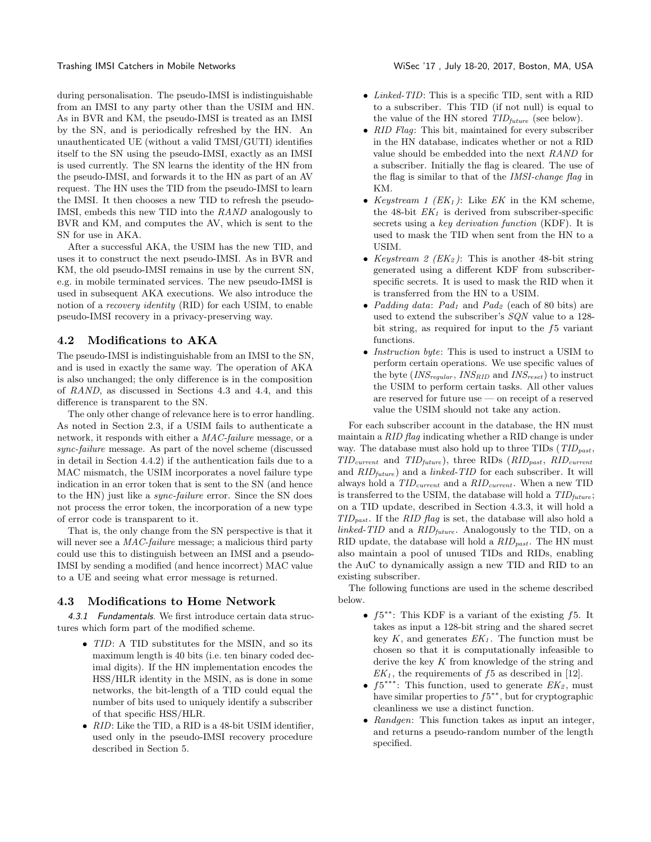during personalisation. The pseudo-IMSI is indistinguishable from an IMSI to any party other than the USIM and HN. As in BVR and KM, the pseudo-IMSI is treated as an IMSI by the SN, and is periodically refreshed by the HN. An unauthenticated UE (without a valid TMSI/GUTI) identifies itself to the SN using the pseudo-IMSI, exactly as an IMSI is used currently. The SN learns the identity of the HN from the pseudo-IMSI, and forwards it to the HN as part of an AV request. The HN uses the TID from the pseudo-IMSI to learn the IMSI. It then chooses a new TID to refresh the pseudo-IMSI, embeds this new TID into the RAND analogously to BVR and KM, and computes the AV, which is sent to the SN for use in AKA.

After a successful AKA, the USIM has the new TID, and uses it to construct the next pseudo-IMSI. As in BVR and KM, the old pseudo-IMSI remains in use by the current SN, e.g. in mobile terminated services. The new pseudo-IMSI is used in subsequent AKA executions. We also introduce the notion of a *recovery identity* (RID) for each USIM, to enable pseudo-IMSI recovery in a privacy-preserving way.

### <span id="page-4-1"></span>4.2 Modifications to AKA

The pseudo-IMSI is indistinguishable from an IMSI to the SN, and is used in exactly the same way. The operation of AKA is also unchanged; the only difference is in the composition of RAND, as discussed in Sections [4.3](#page-4-0) and [4.4,](#page-5-0) and this difference is transparent to the SN.

The only other change of relevance here is to error handling. As noted in Section [2.3,](#page-1-1) if a USIM fails to authenticate a network, it responds with either a MAC-failure message, or a sync-failure message. As part of the novel scheme (discussed in detail in Section [4.4.2\)](#page-6-1) if the authentication fails due to a MAC mismatch, the USIM incorporates a novel failure type indication in an error token that is sent to the SN (and hence to the HN) just like a sync-failure error. Since the SN does not process the error token, the incorporation of a new type of error code is transparent to it.

That is, the only change from the SN perspective is that it will never see a *MAC-failure* message; a malicious third party could use this to distinguish between an IMSI and a pseudo-IMSI by sending a modified (and hence incorrect) MAC value to a UE and seeing what error message is returned.

### <span id="page-4-0"></span>4.3 Modifications to Home Network

4.3.1 Fundamentals. We first introduce certain data structures which form part of the modified scheme.

- TID: A TID substitutes for the MSIN, and so its maximum length is 40 bits (i.e. ten binary coded decimal digits). If the HN implementation encodes the HSS/HLR identity in the MSIN, as is done in some networks, the bit-length of a TID could equal the number of bits used to uniquely identify a subscriber of that specific HSS/HLR.
- RID: Like the TID, a RID is a 48-bit USIM identifier, used only in the pseudo-IMSI recovery procedure described in Section [5.](#page-6-0)
- Linked-TID: This is a specific TID, sent with a RID to a subscriber. This TID (if not null) is equal to the value of the HN stored  $TID_{future}$  (see below).
- RID Flag: This bit, maintained for every subscriber in the HN database, indicates whether or not a RID value should be embedded into the next RAND for a subscriber. Initially the flag is cleared. The use of the flag is similar to that of the IMSI-change flag in KM.
- Keystream 1 ( $EK_1$ ): Like  $EK$  in the KM scheme, the 48-bit  $EK<sub>1</sub>$  is derived from subscriber-specific secrets using a key derivation function (KDF). It is used to mask the TID when sent from the HN to a USIM.
- Keystream 2 ( $EK_2$ ): This is another 48-bit string generated using a different KDF from subscriberspecific secrets. It is used to mask the RID when it is transferred from the HN to a USIM.
- Padding data:  $Pad_1$  and  $Pad_2$  (each of 80 bits) are used to extend the subscriber's SQN value to a 128 bit string, as required for input to the f5 variant functions.
- *Instruction byte:* This is used to instruct a USIM to perform certain operations. We use specific values of the byte  $\left(INS_{regular}, \, INS_{RID} \text{ and } INS_{reset}\right)$  to instruct the USIM to perform certain tasks. All other values are reserved for future use — on receipt of a reserved value the USIM should not take any action.

For each subscriber account in the database, the HN must maintain a RID flag indicating whether a RID change is under way. The database must also hold up to three TIDs ( $TID_{past}$ ,  $TID_{current}$  and  $TID_{future}$ ), three RIDs ( $RID_{past}$ ,  $RID_{current}$ and  $RID_{future}$ ) and a *linked-TID* for each subscriber. It will always hold a  $TID_{current}$  and a  $RID_{current}$ . When a new TID is transferred to the USIM, the database will hold a  $TID_{future}$ ; on a TID update, described in Section [4.3.3,](#page-5-1) it will hold a  $TID_{past}$ . If the RID flag is set, the database will also hold a linked-TID and a  $RID_{future}$ . Analogously to the TID, on a RID update, the database will hold a  $RID_{past}$ . The HN must also maintain a pool of unused TIDs and RIDs, enabling the AuC to dynamically assign a new TID and RID to an existing subscriber.

The following functions are used in the scheme described below.

- $f5^{**}$ : This KDF is a variant of the existing  $f5$ . It takes as input a 128-bit string and the shared secret key K, and generates  $EK_1$ . The function must be chosen so that it is computationally infeasible to derive the key  $K$  from knowledge of the string and  $EK_1$ , the requirements of f5 as described in [\[12\]](#page-10-20).
- $f5^{***}$ : This function, used to generate  $EK_2$ , must have similar properties to  $f5^{**}$ , but for cryptographic cleanliness we use a distinct function.
- Randgen: This function takes as input an integer, and returns a pseudo-random number of the length specified.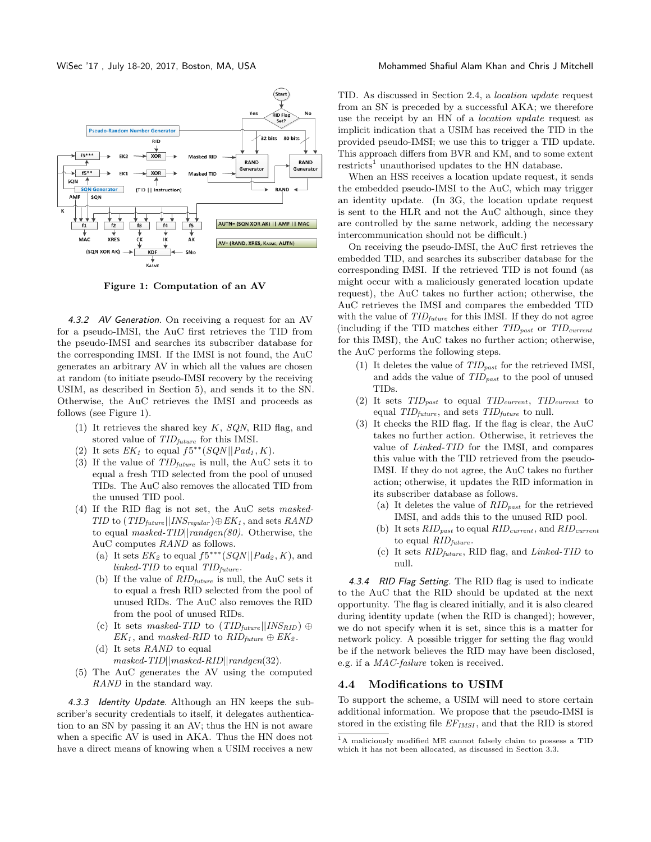<span id="page-5-2"></span>

Figure 1: Computation of an AV

<span id="page-5-6"></span>4.3.2 AV Generation. On receiving a request for an AV for a pseudo-IMSI, the AuC first retrieves the TID from the pseudo-IMSI and searches its subscriber database for the corresponding IMSI. If the IMSI is not found, the AuC generates an arbitrary AV in which all the values are chosen at random (to initiate pseudo-IMSI recovery by the receiving USIM, as described in Section [5\)](#page-6-0), and sends it to the SN. Otherwise, the AuC retrieves the IMSI and proceeds as follows (see Figure [1\)](#page-5-2).

- (1) It retrieves the shared key  $K$ ,  $SQN$ , RID flag, and stored value of  $TID_{future}$  for this IMSI.
- <span id="page-5-7"></span>(2) It sets  $EK_1$  to equal  $f5^{**}(SQN||Pad_1, K)$ .
- <span id="page-5-8"></span>(3) If the value of  $TID_{future}$  is null, the AuC sets it to equal a fresh TID selected from the pool of unused TIDs. The AuC also removes the allocated TID from the unused TID pool.
- (4) If the RID flag is not set, the AuC sets masked- $TID$  to  $(TID_{future}||INS_{regular}) \oplus EK_1$ , and sets  $RAND$ to equal masked-TID||randgen(80). Otherwise, the AuC computes RAND as follows.
	- (a) It sets  $EK_2$  to equal  $f5^{***}(SQN||Pad_2, K)$ , and  $linked-TID$  to equal  $TID_{future}$ .
	- (b) If the value of  $RID_{future}$  is null, the AuC sets it to equal a fresh RID selected from the pool of unused RIDs. The AuC also removes the RID from the pool of unused RIDs.
	- (c) It sets masked-TID to  $(TID_{future}||INS_{RID}) \oplus$  $EK_1$ , and masked-RID to  $RID_{future} \oplus EK_2$ .
	- (d) It sets RAND to equal masked-TID||masked-RID||randgen(32).
- (5) The AuC generates the AV using the computed RAND in the standard way.

<span id="page-5-1"></span>4.3.3 Identity Update. Although an HN keeps the subscriber's security credentials to itself, it delegates authentication to an SN by passing it an AV; thus the HN is not aware when a specific AV is used in AKA. Thus the HN does not have a direct means of knowing when a USIM receives a new

TID. As discussed in Section [2.4,](#page-2-1) a location update request from an SN is preceded by a successful AKA; we therefore use the receipt by an HN of a location update request as implicit indication that a USIM has received the TID in the provided pseudo-IMSI; we use this to trigger a TID update. This approach differs from BVR and KM, and to some extent restricts<sup>[1](#page-5-3)</sup> unauthorised updates to the HN database.

When an HSS receives a location update request, it sends the embedded pseudo-IMSI to the AuC, which may trigger an identity update. (In 3G, the location update request is sent to the HLR and not the AuC although, since they are controlled by the same network, adding the necessary intercommunication should not be difficult.)

On receiving the pseudo-IMSI, the AuC first retrieves the embedded TID, and searches its subscriber database for the corresponding IMSI. If the retrieved TID is not found (as might occur with a maliciously generated location update request), the AuC takes no further action; otherwise, the AuC retrieves the IMSI and compares the embedded TID with the value of  $TID_{future}$  for this IMSI. If they do not agree (including if the TID matches either  $TID_{past}$  or  $TID_{current}$ for this IMSI), the AuC takes no further action; otherwise, the AuC performs the following steps.

- <span id="page-5-4"></span>(1) It deletes the value of  $TID_{past}$  for the retrieved IMSI, and adds the value of  $TID_{past}$  to the pool of unused TIDs.
- <span id="page-5-5"></span>(2) It sets  $TID_{past}$  to equal  $TID_{current}$ ,  $TID_{current}$  to equal  $TID_{future}$ , and sets  $TID_{future}$  to null.
- (3) It checks the RID flag. If the flag is clear, the AuC takes no further action. Otherwise, it retrieves the value of Linked-TID for the IMSI, and compares this value with the TID retrieved from the pseudo-IMSI. If they do not agree, the AuC takes no further action; otherwise, it updates the RID information in its subscriber database as follows.
	- (a) It deletes the value of  $RID_{past}$  for the retrieved IMSI, and adds this to the unused RID pool.
	- (b) It sets  $RID_{past}$  to equal  $RID_{current}$ , and  $RID_{current}$ to equal  $RID_{future}$ .
	- (c) It sets  $RID_{future}$ , RID flag, and Linked-TID to null.

4.3.4 RID Flag Setting. The RID flag is used to indicate to the AuC that the RID should be updated at the next opportunity. The flag is cleared initially, and it is also cleared during identity update (when the RID is changed); however, we do not specify when it is set, since this is a matter for network policy. A possible trigger for setting the flag would be if the network believes the RID may have been disclosed, e.g. if a MAC-failure token is received.

### <span id="page-5-0"></span>4.4 Modifications to USIM

To support the scheme, a USIM will need to store certain additional information. We propose that the pseudo-IMSI is stored in the existing file  $EF_{IMSI}$ , and that the RID is stored

<span id="page-5-3"></span> $^{1}\mathrm{A}$  maliciously modified ME cannot falsely claim to possess a TID which it has not been allocated, as discussed in Section [3.3.](#page-3-1)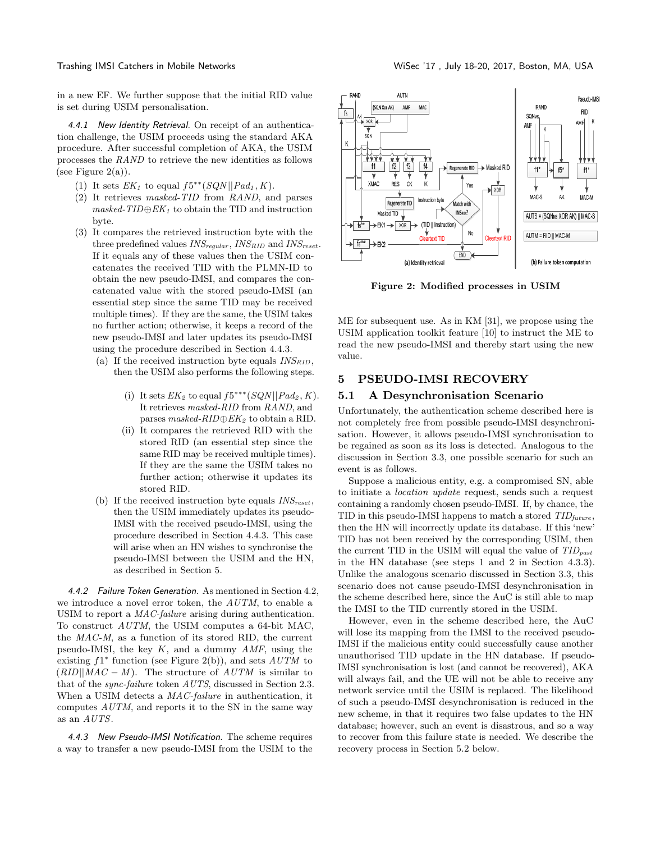in a new EF. We further suppose that the initial RID value is set during USIM personalisation.

4.4.1 New Identity Retrieval. On receipt of an authentication challenge, the USIM proceeds using the standard AKA procedure. After successful completion of AKA, the USIM processes the RAND to retrieve the new identities as follows (see Figure  $2(a)$ ).

- (1) It sets  $EK<sub>1</sub>$  to equal  $f5^{**}(SQN||Pad<sub>1</sub>, K)$ .
- (2) It retrieves masked-TID from RAND, and parses  $masked-TID $\oplus EK_1$  to obtain the TID and instruction$ byte.
- (3) It compares the retrieved instruction byte with the three predefined values  $INS_{regular}$ ,  $INS_{RID}$  and  $INS_{reset}$ . If it equals any of these values then the USIM concatenates the received TID with the PLMN-ID to obtain the new pseudo-IMSI, and compares the concatenated value with the stored pseudo-IMSI (an essential step since the same TID may be received multiple times). If they are the same, the USIM takes no further action; otherwise, it keeps a record of the new pseudo-IMSI and later updates its pseudo-IMSI using the procedure described in Section [4.4.3.](#page-6-3)
	- (a) If the received instruction byte equals  $INS_{RID}$ , then the USIM also performs the following steps.
		- (i) It sets  $EK_2$  to equal  $f5^{***}(SQN||Pad_2, K)$ . It retrieves masked-RID from RAND, and parses masked-RID⊕EK<sub>2</sub> to obtain a RID.
		- (ii) It compares the retrieved RID with the stored RID (an essential step since the same RID may be received multiple times). If they are the same the USIM takes no further action; otherwise it updates its stored RID.
	- (b) If the received instruction byte equals  $INS_{reset}$ , then the USIM immediately updates its pseudo-IMSI with the received pseudo-IMSI, using the procedure described in Section [4.4.3.](#page-6-3) This case will arise when an HN wishes to synchronise the pseudo-IMSI between the USIM and the HN, as described in Section [5.](#page-6-0)

<span id="page-6-1"></span>4.4.2 Failure Token Generation. As mentioned in Section [4.2,](#page-4-1) we introduce a novel error token, the AUTM, to enable a USIM to report a MAC-failure arising during authentication. To construct AUTM, the USIM computes a 64-bit MAC, the MAC-M, as a function of its stored RID, the current pseudo-IMSI, the key  $K$ , and a dummy  $AMF$ , using the existing  $f1^*$  function (see Figure [2\(](#page-6-2)b)), and sets  $AUTM$  to  $(RID||MAC - M)$ . The structure of  $AUTM$  is similar to that of the sync-failure token AUTS, discussed in Section [2.3.](#page-1-1) When a USIM detects a *MAC-failure* in authentication, it computes  $AUTM$ , and reports it to the SN in the same way as an AUTS.

<span id="page-6-3"></span>4.4.3 New Pseudo-IMSI Notification. The scheme requires a way to transfer a new pseudo-IMSI from the USIM to the

<span id="page-6-2"></span>

Figure 2: Modified processes in USIM

ME for subsequent use. As in KM [\[31\]](#page-11-10), we propose using the USIM application toolkit feature [\[10\]](#page-10-19) to instruct the ME to read the new pseudo-IMSI and thereby start using the new value.

# <span id="page-6-0"></span>5 PSEUDO-IMSI RECOVERY

### <span id="page-6-4"></span>5.1 A Desynchronisation Scenario

Unfortunately, the authentication scheme described here is not completely free from possible pseudo-IMSI desynchronisation. However, it allows pseudo-IMSI synchronisation to be regained as soon as its loss is detected. Analogous to the discussion in Section [3.3,](#page-3-1) one possible scenario for such an event is as follows.

Suppose a malicious entity, e.g. a compromised SN, able to initiate a location update request, sends such a request containing a randomly chosen pseudo-IMSI. If, by chance, the TID in this pseudo-IMSI happens to match a stored  $TID_{future}$ , then the HN will incorrectly update its database. If this 'new' TID has not been received by the corresponding USIM, then the current TID in the USIM will equal the value of  $TID_{past}$ in the HN database (see steps [1](#page-5-4) and [2](#page-5-5) in Section [4.3.3\)](#page-5-1). Unlike the analogous scenario discussed in Section [3.3,](#page-3-1) this scenario does not cause pseudo-IMSI desynchronisation in the scheme described here, since the AuC is still able to map the IMSI to the TID currently stored in the USIM.

However, even in the scheme described here, the AuC will lose its mapping from the IMSI to the received pseudo-IMSI if the malicious entity could successfully cause another unauthorised TID update in the HN database. If pseudo-IMSI synchronisation is lost (and cannot be recovered), AKA will always fail, and the UE will not be able to receive any network service until the USIM is replaced. The likelihood of such a pseudo-IMSI desynchronisation is reduced in the new scheme, in that it requires two false updates to the HN database; however, such an event is disastrous, and so a way to recover from this failure state is needed. We describe the recovery process in Section [5.2](#page-7-1) below.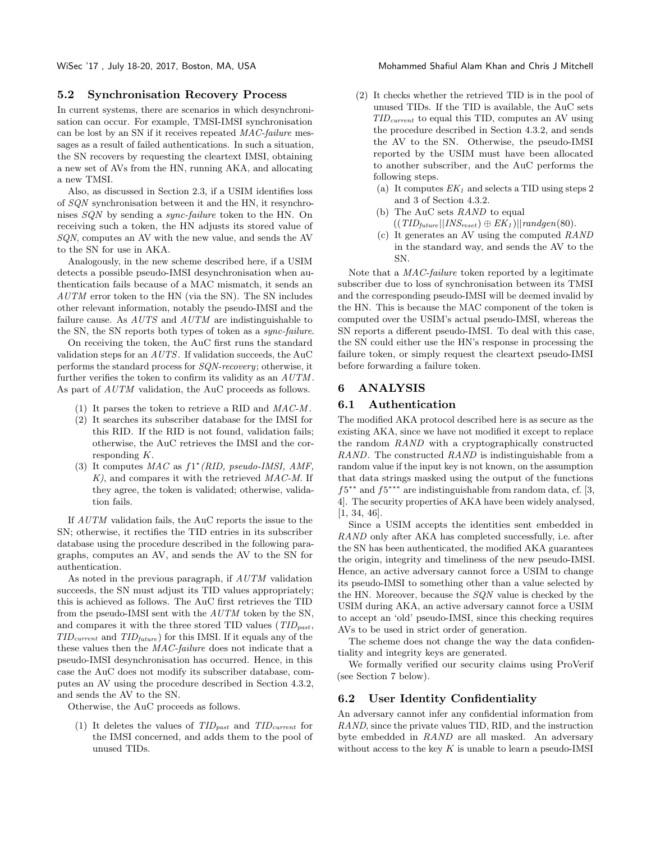### WiSec '17, July 18-20, 2017, Boston, MA, USA Mohammed Shafiul Alam Khan and Chris J Mitchell

### <span id="page-7-1"></span>5.2 Synchronisation Recovery Process

In current systems, there are scenarios in which desynchronisation can occur. For example, TMSI-IMSI synchronisation can be lost by an SN if it receives repeated MAC-failure messages as a result of failed authentications. In such a situation, the SN recovers by requesting the cleartext IMSI, obtaining a new set of AVs from the HN, running AKA, and allocating a new TMSI.

Also, as discussed in Section [2.3,](#page-1-1) if a USIM identifies loss of SQN synchronisation between it and the HN, it resynchronises SQN by sending a sync-failure token to the HN. On receiving such a token, the HN adjusts its stored value of SQN, computes an AV with the new value, and sends the AV to the SN for use in AKA.

Analogously, in the new scheme described here, if a USIM detects a possible pseudo-IMSI desynchronisation when authentication fails because of a MAC mismatch, it sends an AUTM error token to the HN (via the SN). The SN includes other relevant information, notably the pseudo-IMSI and the failure cause. As  $AUTS$  and  $AUTM$  are indistinguishable to the SN, the SN reports both types of token as a sync-failure.

On receiving the token, the AuC first runs the standard validation steps for an AUTS. If validation succeeds, the AuC performs the standard process for SQN-recovery; otherwise, it further verifies the token to confirm its validity as an  $AUTM$ . As part of  $AUTM$  validation, the AuC proceeds as follows.

- (1) It parses the token to retrieve a RID and  $MAC-M$ .
- (2) It searches its subscriber database for the IMSI for this RID. If the RID is not found, validation fails; otherwise, the AuC retrieves the IMSI and the corresponding  $K$ .
- (3) It computes  $MAC$  as  $f1^*(RID, pseudo-IMSI, AMF,$  $K$ , and compares it with the retrieved  $MAC-M$ . If they agree, the token is validated; otherwise, validation fails.

If AUTM validation fails, the AuC reports the issue to the SN; otherwise, it rectifies the TID entries in its subscriber database using the procedure described in the following paragraphs, computes an AV, and sends the AV to the SN for authentication.

As noted in the previous paragraph, if AUTM validation succeeds, the SN must adjust its TID values appropriately; this is achieved as follows. The AuC first retrieves the TID from the pseudo-IMSI sent with the AUTM token by the SN, and compares it with the three stored TID values ( $TID_{past}$ ,  $TID_{current}$  and  $TID_{future}$  for this IMSI. If it equals any of the these values then the MAC-failure does not indicate that a pseudo-IMSI desynchronisation has occurred. Hence, in this case the AuC does not modify its subscriber database, computes an AV using the procedure described in Section [4.3.2,](#page-5-6) and sends the AV to the SN.

Otherwise, the AuC proceeds as follows.

(1) It deletes the values of  $TID_{past}$  and  $TID_{current}$  for the IMSI concerned, and adds them to the pool of unused TIDs.

- (2) It checks whether the retrieved TID is in the pool of unused TIDs. If the TID is available, the AuC sets  $TID_{current}$  to equal this TID, computes an AV using the procedure described in Section [4.3.2,](#page-5-6) and sends the AV to the SN. Otherwise, the pseudo-IMSI reported by the USIM must have been allocated to another subscriber, and the AuC performs the following steps.
	- (a) It computes  $EK_1$  and selects a TID using steps [2](#page-5-7) and [3](#page-5-8) of Section [4.3.2.](#page-5-6)
	- (b) The AuC sets RAND to equal
	- $((TID_{future}||INS_{reset}) \oplus EK_1)||randgen(80).$ (c) It generates an AV using the computed RAND in the standard way, and sends the AV to the SN.

Note that a MAC-failure token reported by a legitimate subscriber due to loss of synchronisation between its TMSI and the corresponding pseudo-IMSI will be deemed invalid by the HN. This is because the MAC component of the token is computed over the USIM's actual pseudo-IMSI, whereas the SN reports a different pseudo-IMSI. To deal with this case, the SN could either use the HN's response in processing the failure token, or simply request the cleartext pseudo-IMSI before forwarding a failure token.

# <span id="page-7-0"></span>6 ANALYSIS

### <span id="page-7-2"></span>6.1 Authentication

The modified AKA protocol described here is as secure as the existing AKA, since we have not modified it except to replace the random RAND with a cryptographically constructed RAND. The constructed RAND is indistinguishable from a random value if the input key is not known, on the assumption that data strings masked using the output of the functions  $f5***$  and  $f5***$  are indistinguishable from random data, cf. [\[3,](#page-10-21) [4\]](#page-10-22). The security properties of AKA have been widely analysed, [\[1,](#page-10-23) [34,](#page-11-16) [46\]](#page-11-17).

Since a USIM accepts the identities sent embedded in RAND only after AKA has completed successfully, i.e. after the SN has been authenticated, the modified AKA guarantees the origin, integrity and timeliness of the new pseudo-IMSI. Hence, an active adversary cannot force a USIM to change its pseudo-IMSI to something other than a value selected by the HN. Moreover, because the SQN value is checked by the USIM during AKA, an active adversary cannot force a USIM to accept an 'old' pseudo-IMSI, since this checking requires AVs to be used in strict order of generation.

The scheme does not change the way the data confidentiality and integrity keys are generated.

We formally verified our security claims using ProVerif (see Section [7](#page-9-0) below).

### 6.2 User Identity Confidentiality

An adversary cannot infer any confidential information from RAND, since the private values TID, RID, and the instruction byte embedded in RAND are all masked. An adversary without access to the key  $K$  is unable to learn a pseudo-IMSI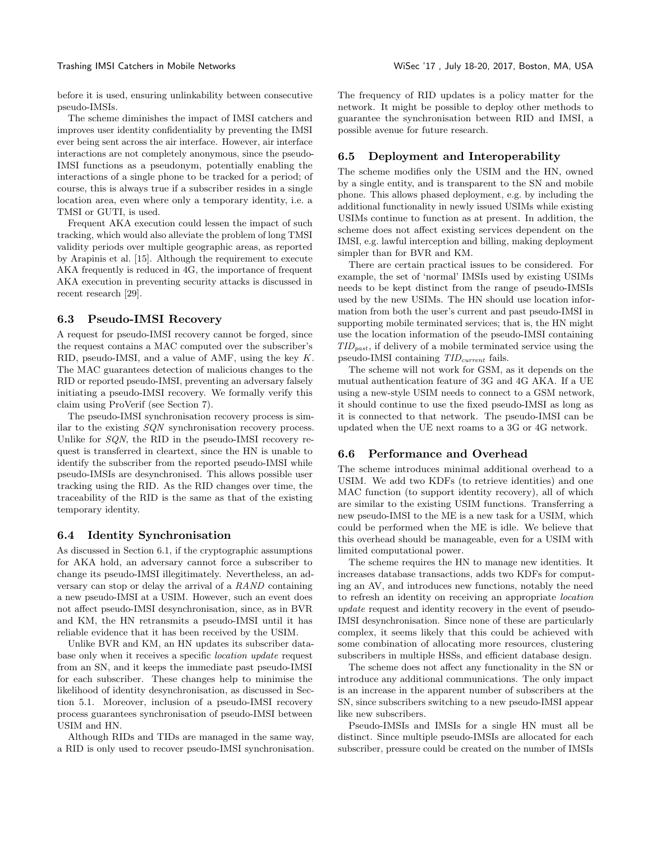before it is used, ensuring unlinkability between consecutive pseudo-IMSIs.

The scheme diminishes the impact of IMSI catchers and improves user identity confidentiality by preventing the IMSI ever being sent across the air interface. However, air interface interactions are not completely anonymous, since the pseudo-IMSI functions as a pseudonym, potentially enabling the interactions of a single phone to be tracked for a period; of course, this is always true if a subscriber resides in a single location area, even where only a temporary identity, i.e. a TMSI or GUTI, is used.

Frequent AKA execution could lessen the impact of such tracking, which would also alleviate the problem of long TMSI validity periods over multiple geographic areas, as reported by Arapinis et al. [\[15\]](#page-10-24). Although the requirement to execute AKA frequently is reduced in 4G, the importance of frequent AKA execution in preventing security attacks is discussed in recent research [\[29\]](#page-10-25).

### 6.3 Pseudo-IMSI Recovery

A request for pseudo-IMSI recovery cannot be forged, since the request contains a MAC computed over the subscriber's RID, pseudo-IMSI, and a value of AMF, using the key K. The MAC guarantees detection of malicious changes to the RID or reported pseudo-IMSI, preventing an adversary falsely initiating a pseudo-IMSI recovery. We formally verify this claim using ProVerif (see Section [7\)](#page-9-0).

The pseudo-IMSI synchronisation recovery process is similar to the existing SQN synchronisation recovery process. Unlike for SQN, the RID in the pseudo-IMSI recovery request is transferred in cleartext, since the HN is unable to identify the subscriber from the reported pseudo-IMSI while pseudo-IMSIs are desynchronised. This allows possible user tracking using the RID. As the RID changes over time, the traceability of the RID is the same as that of the existing temporary identity.

### 6.4 Identity Synchronisation

As discussed in Section [6.1,](#page-7-2) if the cryptographic assumptions for AKA hold, an adversary cannot force a subscriber to change its pseudo-IMSI illegitimately. Nevertheless, an adversary can stop or delay the arrival of a RAND containing a new pseudo-IMSI at a USIM. However, such an event does not affect pseudo-IMSI desynchronisation, since, as in BVR and KM, the HN retransmits a pseudo-IMSI until it has reliable evidence that it has been received by the USIM.

Unlike BVR and KM, an HN updates its subscriber database only when it receives a specific location update request from an SN, and it keeps the immediate past pseudo-IMSI for each subscriber. These changes help to minimise the likelihood of identity desynchronisation, as discussed in Section [5.1.](#page-6-4) Moreover, inclusion of a pseudo-IMSI recovery process guarantees synchronisation of pseudo-IMSI between USIM and HN.

Although RIDs and TIDs are managed in the same way, a RID is only used to recover pseudo-IMSI synchronisation. The frequency of RID updates is a policy matter for the network. It might be possible to deploy other methods to guarantee the synchronisation between RID and IMSI, a possible avenue for future research.

### 6.5 Deployment and Interoperability

The scheme modifies only the USIM and the HN, owned by a single entity, and is transparent to the SN and mobile phone. This allows phased deployment, e.g. by including the additional functionality in newly issued USIMs while existing USIMs continue to function as at present. In addition, the scheme does not affect existing services dependent on the IMSI, e.g. lawful interception and billing, making deployment simpler than for BVR and KM.

There are certain practical issues to be considered. For example, the set of 'normal' IMSIs used by existing USIMs needs to be kept distinct from the range of pseudo-IMSIs used by the new USIMs. The HN should use location information from both the user's current and past pseudo-IMSI in supporting mobile terminated services; that is, the HN might use the location information of the pseudo-IMSI containing  $TID_{past}$ , if delivery of a mobile terminated service using the pseudo-IMSI containing  $TID_{current}$  fails.

The scheme will not work for GSM, as it depends on the mutual authentication feature of 3G and 4G AKA. If a UE using a new-style USIM needs to connect to a GSM network, it should continue to use the fixed pseudo-IMSI as long as it is connected to that network. The pseudo-IMSI can be updated when the UE next roams to a 3G or 4G network.

## 6.6 Performance and Overhead

The scheme introduces minimal additional overhead to a USIM. We add two KDFs (to retrieve identities) and one MAC function (to support identity recovery), all of which are similar to the existing USIM functions. Transferring a new pseudo-IMSI to the ME is a new task for a USIM, which could be performed when the ME is idle. We believe that this overhead should be manageable, even for a USIM with limited computational power.

The scheme requires the HN to manage new identities. It increases database transactions, adds two KDFs for computing an AV, and introduces new functions, notably the need to refresh an identity on receiving an appropriate location update request and identity recovery in the event of pseudo-IMSI desynchronisation. Since none of these are particularly complex, it seems likely that this could be achieved with some combination of allocating more resources, clustering subscribers in multiple HSSs, and efficient database design.

The scheme does not affect any functionality in the SN or introduce any additional communications. The only impact is an increase in the apparent number of subscribers at the SN, since subscribers switching to a new pseudo-IMSI appear like new subscribers.

Pseudo-IMSIs and IMSIs for a single HN must all be distinct. Since multiple pseudo-IMSIs are allocated for each subscriber, pressure could be created on the number of IMSIs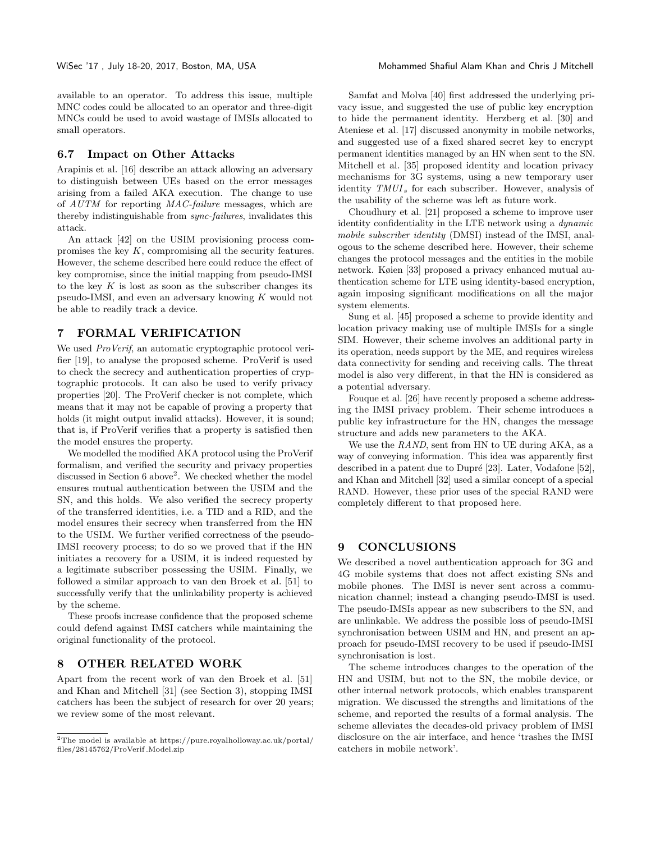available to an operator. To address this issue, multiple MNC codes could be allocated to an operator and three-digit MNCs could be used to avoid wastage of IMSIs allocated to small operators.

### 6.7 Impact on Other Attacks

Arapinis et al. [\[16\]](#page-10-3) describe an attack allowing an adversary to distinguish between UEs based on the error messages arising from a failed AKA execution. The change to use of AUTM for reporting MAC-failure messages, which are thereby indistinguishable from sync-failures, invalidates this attack.

An attack [\[42\]](#page-11-18) on the USIM provisioning process compromises the key  $K$ , compromising all the security features. However, the scheme described here could reduce the effect of key compromise, since the initial mapping from pseudo-IMSI to the key  $K$  is lost as soon as the subscriber changes its pseudo-IMSI, and even an adversary knowing K would not be able to readily track a device.

# <span id="page-9-0"></span>7 FORMAL VERIFICATION

We used *ProVerif*, an automatic cryptographic protocol verifier [\[19\]](#page-10-26), to analyse the proposed scheme. ProVerif is used to check the secrecy and authentication properties of cryptographic protocols. It can also be used to verify privacy properties [\[20\]](#page-10-27). The ProVerif checker is not complete, which means that it may not be capable of proving a property that holds (it might output invalid attacks). However, it is sound: that is, if ProVerif verifies that a property is satisfied then the model ensures the property.

We modelled the modified AKA protocol using the ProVerif formalism, and verified the security and privacy properties discussed in Section [6](#page-7-0) above<sup>[2](#page-9-3)</sup>. We checked whether the model ensures mutual authentication between the USIM and the SN, and this holds. We also verified the secrecy property of the transferred identities, i.e. a TID and a RID, and the model ensures their secrecy when transferred from the HN to the USIM. We further verified correctness of the pseudo-IMSI recovery process; to do so we proved that if the HN initiates a recovery for a USIM, it is indeed requested by a legitimate subscriber possessing the USIM. Finally, we followed a similar approach to van den Broek et al. [\[51\]](#page-11-9) to successfully verify that the unlinkability property is achieved by the scheme.

These proofs increase confidence that the proposed scheme could defend against IMSI catchers while maintaining the original functionality of the protocol.

# <span id="page-9-1"></span>8 OTHER RELATED WORK

Apart from the recent work of van den Broek et al. [\[51\]](#page-11-9) and Khan and Mitchell [\[31\]](#page-11-10) (see Section [3\)](#page-2-0), stopping IMSI catchers has been the subject of research for over 20 years; we review some of the most relevant.

Samfat and Molva [\[40\]](#page-11-7) first addressed the underlying privacy issue, and suggested the use of public key encryption to hide the permanent identity. Herzberg et al. [\[30\]](#page-10-28) and Ateniese et al. [\[17\]](#page-10-4) discussed anonymity in mobile networks, and suggested use of a fixed shared secret key to encrypt permanent identities managed by an HN when sent to the SN. Mitchell et al. [\[35\]](#page-11-19) proposed identity and location privacy mechanisms for 3G systems, using a new temporary user identity  $TMI_s$  for each subscriber. However, analysis of the usability of the scheme was left as future work.

Choudhury et al. [\[21\]](#page-10-5) proposed a scheme to improve user identity confidentiality in the LTE network using a dynamic mobile subscriber identity (DMSI) instead of the IMSI, analogous to the scheme described here. However, their scheme changes the protocol messages and the entities in the mobile network. Køien [\[33\]](#page-11-6) proposed a privacy enhanced mutual authentication scheme for LTE using identity-based encryption, again imposing significant modifications on all the major system elements.

Sung et al. [\[45\]](#page-11-20) proposed a scheme to provide identity and location privacy making use of multiple IMSIs for a single SIM. However, their scheme involves an additional party in its operation, needs support by the ME, and requires wireless data connectivity for sending and receiving calls. The threat model is also very different, in that the HN is considered as a potential adversary.

Fouque et al. [\[26\]](#page-10-6) have recently proposed a scheme addressing the IMSI privacy problem. Their scheme introduces a public key infrastructure for the HN, changes the message structure and adds new parameters to the AKA.

We use the RAND, sent from HN to UE during AKA, as a way of conveying information. This idea was apparently first described in a patent due to Dupré [\[23\]](#page-10-29). Later, Vodafone [\[52\]](#page-11-21), and Khan and Mitchell [\[32\]](#page-11-22) used a similar concept of a special RAND. However, these prior uses of the special RAND were completely different to that proposed here.

# <span id="page-9-2"></span>9 CONCLUSIONS

We described a novel authentication approach for 3G and 4G mobile systems that does not affect existing SNs and mobile phones. The IMSI is never sent across a communication channel; instead a changing pseudo-IMSI is used. The pseudo-IMSIs appear as new subscribers to the SN, and are unlinkable. We address the possible loss of pseudo-IMSI synchronisation between USIM and HN, and present an approach for pseudo-IMSI recovery to be used if pseudo-IMSI synchronisation is lost.

The scheme introduces changes to the operation of the HN and USIM, but not to the SN, the mobile device, or other internal network protocols, which enables transparent migration. We discussed the strengths and limitations of the scheme, and reported the results of a formal analysis. The scheme alleviates the decades-old privacy problem of IMSI disclosure on the air interface, and hence 'trashes the IMSI catchers in mobile network'.

<span id="page-9-3"></span> $\overline{\text{^{2}The}}$  model is available at [https://pure.royalholloway.ac.uk/portal/](https://pure.royalholloway.ac.uk/portal/files/28145762/ProVerif_Model.zip) [files/28145762/ProVerif](https://pure.royalholloway.ac.uk/portal/files/28145762/ProVerif_Model.zip) Model.zip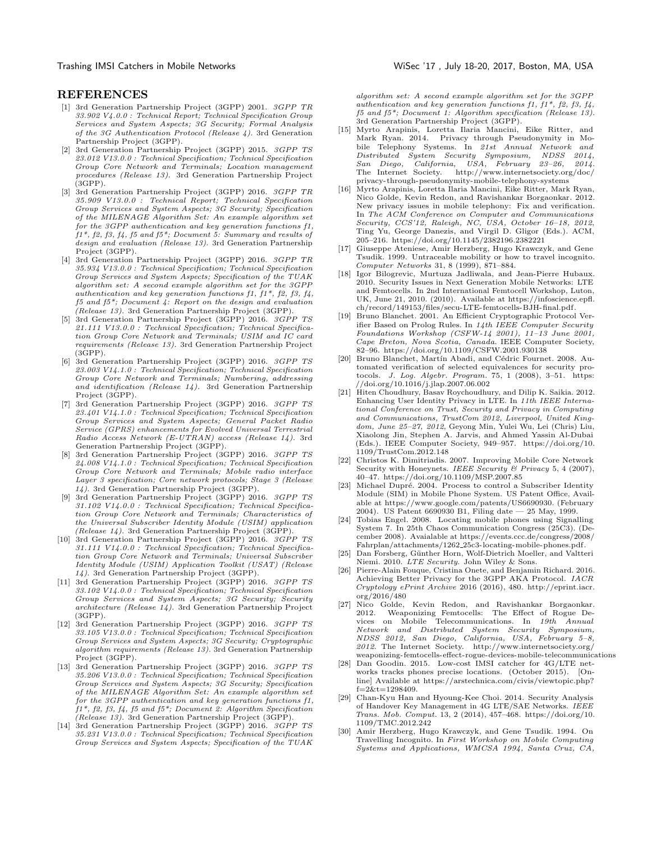## REFERENCES

- <span id="page-10-23"></span>[1] 3rd Generation Partnership Project (3GPP) 2001. 3GPP TR 33.902 V4.0.0 : Technical Report; Technical Specification Group Services and System Aspects; 3G Security; Formal Analysis of the 3G Authentication Protocol (Release 4). 3rd Generation Partnership Project (3GPP).
- <span id="page-10-18"></span>[2] 3rd Generation Partnership Project (3GPP) 2015. 3GPP TS 23.012 V13.0.0 : Technical Specification; Technical Specification Group Core Network and Terminals; Location management procedures (Release 13). 3rd Generation Partnership Project (3GPP).
- <span id="page-10-21"></span>[3] 3rd Generation Partnership Project (3GPP) 2016. 3GPP TR 35.909 V13.0.0 : Technical Report; Technical Specification Group Services and System Aspects; 3G Security; Specification of the MILENAGE Algorithm Set: An example algorithm set for the 3GPP authentication and key generation functions f1,  $f1^*$ ,  $f2$ ,  $f3$ ,  $f4$ ,  $f5$  and  $f5^*$ ; Document 5: Summary and results of design and evaluation (Release 13). 3rd Generation Partnership Project (3GPP).
- <span id="page-10-22"></span>[4] 3rd Generation Partnership Project (3GPP) 2016. 3GPP TR 35.934 V13.0.0 : Technical Specification; Technical Specification Group Services and System Aspects; Specification of the TUAK algorithm set: A second example algorithm set for the 3GPP authentication and key generation functions  $f1$ ,  $f1^*$ ,  $f2$ ,  $f3$ ,  $f4$ , f5 and f5\*; Document 4: Report on the design and evaluation (Release 13). 3rd Generation Partnership Project (3GPP).
- <span id="page-10-11"></span>[5] 3rd Generation Partnership Project (3GPP) 2016. 3GPP TS 21.111 V13.0.0 : Technical Specification; Technical Specification Group Core Network and Terminals; USIM and IC card requirements (Release 13). 3rd Generation Partnership Project (3GPP).
- <span id="page-10-12"></span>[6] 3rd Generation Partnership Project (3GPP) 2016. 3GPP TS 23.003 V14.1.0 : Technical Specification; Technical Specification Group Core Network and Terminals; Numbering, addressing and identification (Release 14). 3rd Generation Partnership Project (3GPP).
- <span id="page-10-17"></span>[7] 3rd Generation Partnership Project (3GPP) 2016. 3GPP TS 23.401 V14.1.0 : Technical Specification; Technical Specification Group Services and System Aspects; General Packet Radio Service (GPRS) enhancements for Evolved Universal Terrestrial Radio Access Network (E-UTRAN) access (Release 14). 3rd Generation Partnership Project (3GPP).
- <span id="page-10-16"></span>3rd Generation Partnership Project (3GPP) 2016. 3GPP TS 24.008 V14.1.0 : Technical Specification; Technical Specification Group Core Network and Terminals; Mobile radio interface Layer 3 specification; Core network protocols; Stage 3 (Release 14). 3rd Generation Partnership Project (3GPP).
- <span id="page-10-13"></span>[9] 3rd Generation Partnership Project (3GPP) 2016. 3GPP TS 31.102 V14.0.0 : Technical Specification; Technical Specification Group Core Network and Terminals; Characteristics of the Universal Subscriber Identity Module (USIM) application (Release  $14$ ). 3rd Generation Partnership Project (3GPP).
- <span id="page-10-19"></span>[10] 3rd Generation Partnership Project (3GPP) 2016. 3GPP TS 31.111 V14.0.0 : Technical Specification; Technical Specification Group Core Network and Terminals; Universal Subscriber Identity Module (USIM) Application Toolkit (USAT) (Release 14). 3rd Generation Partnership Project (3GPP).
- <span id="page-10-1"></span>[11] 3rd Generation Partnership Project (3GPP) 2016. 3GPP TS 33.102 V14.0.0 : Technical Specification; Technical Specification Group Services and System Aspects; 3G Security; Security architecture (Release 14). 3rd Generation Partnership Project (3GPP).
- <span id="page-10-20"></span>[12] 3rd Generation Partnership Project (3GPP) 2016. 3GPP TS 33.105 V13.0.0 : Technical Specification; Technical Specification Group Services and System Aspects; 3G Security; Cryptographic algorithm requirements (Release 13). 3rd Generation Partnership Project (3GPP).
- <span id="page-10-14"></span>[13] 3rd Generation Partnership Project (3GPP) 2016. 3GPP TS 35.206 V13.0.0 : Technical Specification; Technical Specification Group Services and System Aspects; 3G Security; Specification of the MILENAGE Algorithm Set: An example algorithm set for the 3GPP authentication and key generation functions f1,  $f1^*$ ,  $f2$ ,  $f3$ ,  $f4$ ,  $f5$  and  $f5^*$ ; Document 2: Algorithm Specification (Release 13). 3rd Generation Partnership Project (3GPP).
- <span id="page-10-15"></span>[14] 3rd Generation Partnership Project (3GPP) 2016. 3GPP TS 35.231 V13.0.0 : Technical Specification; Technical Specification Group Services and System Aspects; Specification of the TUAK

algorithm set: A second example algorithm set for the 3GPP authentication and key generation functions  $f1$ ,  $f1^*$ ,  $f2$ ,  $f3$ ,  $f4$ , f5 and f5\*; Document 1: Algorithm specification (Release 13). 3rd Generation Partnership Project (3GPP).

- <span id="page-10-24"></span>[15] Myrto Arapinis, Loretta Ilaria Mancini, Eike Ritter, and Mark Ryan. 2014. Privacy through Pseudonymity in Mobile Telephony Systems. In 21st Annual Network and Distributed System Security Symposium, NDSS 2014, San Diego, California, USA, February 23–26, 2014. The Internet Society. [http://www.internetsociety.org/doc/](http://www.internetsociety.org/doc/privacy-through-pseudonymity-mobile-telephony-systems) [privacy-through-pseudonymity-mobile-telephony-systems](http://www.internetsociety.org/doc/privacy-through-pseudonymity-mobile-telephony-systems)
- <span id="page-10-3"></span>[16] Myrto Arapinis, Loretta Ilaria Mancini, Eike Ritter, Mark Ryan, Nico Golde, Kevin Redon, and Ravishankar Borgaonkar. 2012. New privacy issues in mobile telephony: Fix and verification. In The ACM Conference on Computer and Communications Security, CCS'12, Raleigh, NC, USA, October 16–18, 2012, Ting Yu, George Danezis, and Virgil D. Gligor (Eds.). ACM, 205–216.<https://doi.org/10.1145/2382196.2382221>
- <span id="page-10-4"></span>[17] Giuseppe Ateniese, Amir Herzberg, Hugo Krawczyk, and Gene Tsudik. 1999. Untraceable mobility or how to travel incognito. Computer Networks 31, 8 (1999), 871–884.
- <span id="page-10-7"></span>[18] Igor Bilogrevic, Murtuza Jadliwala, and Jean-Pierre Hubaux. 2010. Security Issues in Next Generation Mobile Networks: LTE and Femtocells. In 2nd International Femtocell Workshop, Luton, UK, June 21, 2010. (2010). Available at [https://infoscience.epfl.](https://infoscience.epfl.ch/record/149153/files/secu-LTE-femtocells-BJH-final.pdf) [ch/record/149153/files/secu-LTE-femtocells-BJH-final.pdf.](https://infoscience.epfl.ch/record/149153/files/secu-LTE-femtocells-BJH-final.pdf)
- <span id="page-10-26"></span>[19] Bruno Blanchet. 2001. An Efficient Cryptographic Protocol Verifier Based on Prolog Rules. In 14th IEEE Computer Security Foundations Workshop (CSFW-14 2001), 11–13 June 2001, Cape Breton, Nova Scotia, Canada. IEEE Computer Society, 82–96.<https://doi.org/10.1109/CSFW.2001.930138>
- <span id="page-10-27"></span>[20] Bruno Blanchet, Martín Abadi, and Cédric Fournet. 2008. Automated verification of selected equivalences for security protocols. J. Log. Algebr. Program. 75, 1 (2008), 3–51. [https:](https://doi.org/10.1016/j.jlap.2007.06.002) [//doi.org/10.1016/j.jlap.2007.06.002](https://doi.org/10.1016/j.jlap.2007.06.002)
- <span id="page-10-5"></span>[21] Hiten Choudhury, Basav Roychoudhury, and Dilip K. Saikia. 2012. Enhancing User Identity Privacy in LTE. In 11th IEEE International Conference on Trust, Security and Privacy in Computing and Communications, TrustCom 2012, Liverpool, United Kingdom, June 25–27, 2012, Geyong Min, Yulei Wu, Lei (Chris) Liu, Xiaolong Jin, Stephen A. Jarvis, and Ahmed Yassin Al-Dubai (Eds.). IEEE Computer Society, 949–957. [https://doi.org/10.](https://doi.org/10.1109/TrustCom.2012.148) [1109/TrustCom.2012.148](https://doi.org/10.1109/TrustCom.2012.148)
- <span id="page-10-8"></span>[22] Christos K. Dimitriadis. 2007. Improving Mobile Core Network Security with Honeynets. IEEE Security & Privacy 5, 4 (2007),
- <span id="page-10-29"></span>40–47.<https://doi.org/10.1109/MSP.2007.85><br>[23] Michael Dupré. 2004. Process to control a Subscriber Identity Module (SIM) in Mobile Phone System. US Patent Office, Available at [https://www.google.com/patents/US6690930.](https://www.google.com/patents/US6690930) (February 2004). US Patent 6690930 B1, Filing date — 25 May, 1999.
- <span id="page-10-9"></span>[24] Tobias Engel. 2008. Locating mobile phones using Signalling System 7. In 25th Chaos Communication Congress (25C3). (December 2008). Avaialable at [https://events.ccc.de/congress/2008/](https://events.ccc.de/congress/2008/Fahrplan/attachments/1262_25c3-locating-mobile-phones.pdf) Fahrplan/attachments/1262 [25c3-locating-mobile-phones.pdf.](https://events.ccc.de/congress/2008/Fahrplan/attachments/1262_25c3-locating-mobile-phones.pdf)
- <span id="page-10-0"></span>[25] Dan Forsberg, Günther Horn, Wolf-Dietrich Moeller, and Valtteri Niemi. 2010. LTE Security. John Wiley & Sons.
- <span id="page-10-6"></span>[26] Pierre-Alain Fouque, Cristina Onete, and Benjamin Richard. 2016. Achieving Better Privacy for the 3GPP AKA Protocol. IACR Cryptology ePrint Archive 2016 (2016), 480. [http://eprint.iacr.](http://eprint.iacr.org/2016/480)  $\mathrm{org}/2016/\mathrm{\check{4}}80$
- <span id="page-10-10"></span>[27] Nico Golde, Kevin Redon, and Ravishankar Borgaonkar. 2012. Weaponizing Femtocells: The Effect of Rogue De-vices on Mobile Telecommunications. In 19th Annual Network and Distributed System Security Symposium, NDSS 2012, San Diego, California, USA, February 5–8, 2012. The Internet Society. [http://www.internetsociety.org/](http://www.internetsociety.org/weaponizing-femtocells-effect-rogue-devices-mobile-telecommunications) [weaponizing-femtocells-effect-rogue-devices-mobile-telecommunications](http://www.internetsociety.org/weaponizing-femtocells-effect-rogue-devices-mobile-telecommunications)
- <span id="page-10-2"></span>[28] Dan Goodin. 2015. Low-cost IMSI catcher for 4G/LTE networks tracks phones precise locations. (October 2015). [Online] Available at [https://arstechnica.com/civis/viewtopic.php?](https://arstechnica.com/civis/viewtopic.php?f=2&t=1298409)  $f=2k+1298409$
- <span id="page-10-25"></span>[29] Chan-Kyu Han and Hyoung-Kee Choi. 2014. Security Analysis of Handover Key Management in 4G LTE/SAE Networks. IEEE Trans. Mob. Comput. 13, 2 (2014), 457–468. [https://doi.org/10.](https://doi.org/10.1109/TMC.2012.242) [1109/TMC.2012.242](https://doi.org/10.1109/TMC.2012.242)
- <span id="page-10-28"></span>[30] Amir Herzberg, Hugo Krawczyk, and Gene Tsudik. 1994. On Travelling Incognito. In First Workshop on Mobile Computing Systems and Applications, WMCSA 1994, Santa Cruz, CA,